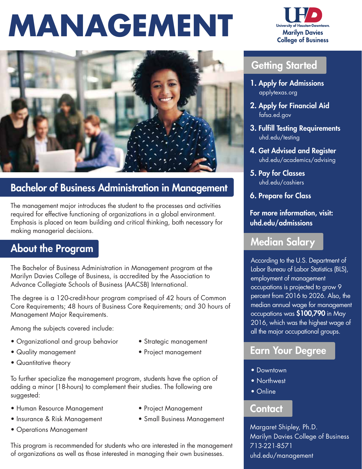# **MANAGEMENT**



# Bachelor of Business Administration in Management

The management major introduces the student to the processes and activities required for effective functioning of organizations in a global environment. Emphasis is placed on team building and critical thinking, both necessary for making managerial decisions.

# About the Program

The Bachelor of Business Administration in Management program at the Marilyn Davies College of Business, is accredited by the Association to Advance Collegiate Schools of Business (AACSB) International.

The degree is a 120-credit-hour program comprised of 42 hours of Common Core Requirements; 48 hours of Business Core Requirements; and 30 hours of Management Major Requirements.

Among the subjects covered include:

- Organizational and group behavior Strategic management
- 
- Quantitative theory
- 
- Quality management Project management

To further specialize the management program, students have the option of adding a minor (18-hours) to complement their studies. The following are suggested:

- Human Resource Management Project Management
- Insurance & Risk Management Small Business Management
- Operations Management

This program is recommended for students who are interested in the management of organizations as well as those interested in managing their own businesses.



## Getting Started

- 1. Apply for Admissions applytexas.org
- 2. Apply for Financial Aid fafsa.ed.gov
- 3. Fulfill Testing Requirements uhd.edu/testing
- 4. Get Advised and Register uhd.edu/academics/advising
- 5. Pay for Classes uhd.edu/cashiers
- 6. Prepare for Class

For more information, visit: uhd.edu/admissions

#### Median Salary

According to the U.S. Department of Labor Bureau of Labor Statistics (BLS), employment of management occupations is projected to grow 9 percent from 2016 to 2026. Also, the median annual wage for management occupations was \$100,790 in May 2016, which was the highest wage of all the major occupational groups.

### Earn Your Degree

- Downtown
- Northwest
- Online

#### **Contact**

Margaret Shipley, Ph.D. Marilyn Davies College of Business 713-221-8571 uhd.edu/management